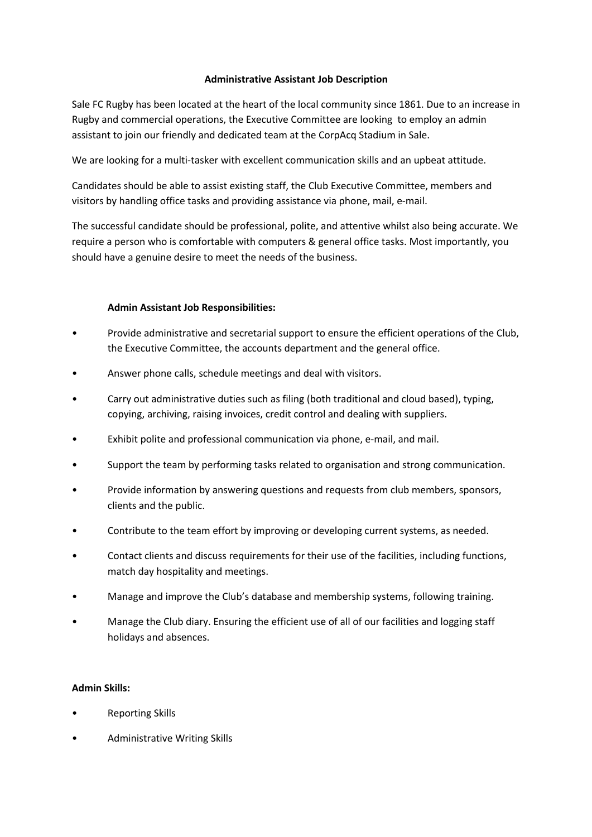## **Administrative Assistant Job Description**

Sale FC Rugby has been located at the heart of the local community since 1861. Due to an increase in Rugby and commercial operations, the Executive Committee are looking to employ an admin assistant to join our friendly and dedicated team at the CorpAcq Stadium in Sale.

We are looking for a multi-tasker with excellent communication skills and an upbeat attitude.

Candidates should be able to assist existing staff, the Club Executive Committee, members and visitors by handling office tasks and providing assistance via phone, mail, e-mail.

The successful candidate should be professional, polite, and attentive whilst also being accurate. We require a person who is comfortable with computers & general office tasks. Most importantly, you should have a genuine desire to meet the needs of the business.

## **Admin Assistant Job Responsibilities:**

- Provide administrative and secretarial support to ensure the efficient operations of the Club, the Executive Committee, the accounts department and the general office.
- Answer phone calls, schedule meetings and deal with visitors.
- Carry out administrative duties such as filing (both traditional and cloud based), typing, copying, archiving, raising invoices, credit control and dealing with suppliers.
- Exhibit polite and professional communication via phone, e-mail, and mail.
- Support the team by performing tasks related to organisation and strong communication.
- Provide information by answering questions and requests from club members, sponsors, clients and the public.
- Contribute to the team effort by improving or developing current systems, as needed.
- Contact clients and discuss requirements for their use of the facilities, including functions, match day hospitality and meetings.
- Manage and improve the Club's database and membership systems, following training.
- Manage the Club diary. Ensuring the efficient use of all of our facilities and logging staff holidays and absences.

## **Admin Skills:**

- Reporting Skills
- Administrative Writing Skills